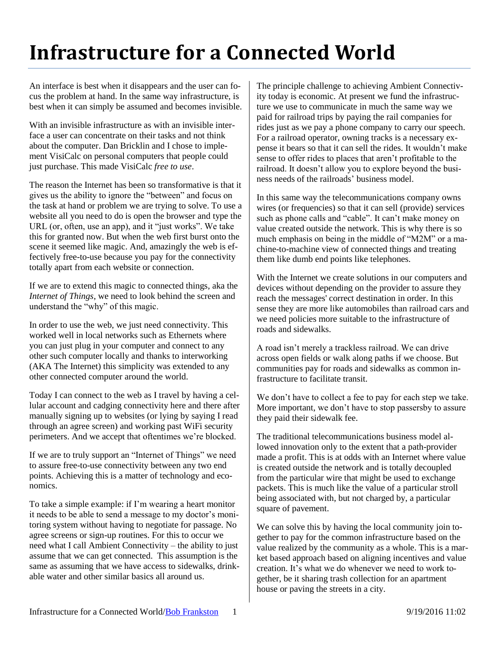## **Infrastructure for a Connected World**

An interface is best when it disappears and the user can focus the problem at hand. In the same way infrastructure, is best when it can simply be assumed and becomes invisible.

With an invisible infrastructure as with an invisible interface a user can concentrate on their tasks and not think about the computer. Dan Bricklin and I chose to implement VisiCalc on personal computers that people could just purchase. This made VisiCalc *free to use*.

The reason the Internet has been so transformative is that it gives us the ability to ignore the "between" and focus on the task at hand or problem we are trying to solve. To use a website all you need to do is open the browser and type the URL (or, often, use an app), and it "just works". We take this for granted now. But when the web first burst onto the scene it seemed like magic. And, amazingly the web is effectively free-to-use because you pay for the connectivity totally apart from each website or connection.

If we are to extend this magic to connected things, aka the *Internet of Things*, we need to look behind the screen and understand the "why" of this magic.

In order to use the web, we just need connectivity. This worked well in local networks such as Ethernets where you can just plug in your computer and connect to any other such computer locally and thanks to interworking (AKA The Internet) this simplicity was extended to any other connected computer around the world.

Today I can connect to the web as I travel by having a cellular account and cadging connectivity here and there after manually signing up to websites (or lying by saying I read through an agree screen) and working past WiFi security perimeters. And we accept that oftentimes we're blocked.

If we are to truly support an "Internet of Things" we need to assure free-to-use connectivity between any two end points. Achieving this is a matter of technology and economics.

To take a simple example: if I'm wearing a heart monitor it needs to be able to send a message to my doctor's monitoring system without having to negotiate for passage. No agree screens or sign-up routines. For this to occur we need what I call Ambient Connectivity – the ability to just assume that we can get connected. This assumption is the same as assuming that we have access to sidewalks, drinkable water and other similar basics all around us.

The principle challenge to achieving Ambient Connectivity today is economic. At present we fund the infrastructure we use to communicate in much the same way we paid for railroad trips by paying the rail companies for rides just as we pay a phone company to carry our speech. For a railroad operator, owning tracks is a necessary expense it bears so that it can sell the rides. It wouldn't make sense to offer rides to places that aren't profitable to the railroad. It doesn't allow you to explore beyond the business needs of the railroads' business model.

In this same way the telecommunications company owns wires (or frequencies) so that it can sell (provide) services such as phone calls and "cable". It can't make money on value created outside the network. This is why there is so much emphasis on being in the middle of "M2M" or a machine-to-machine view of connected things and treating them like dumb end points like telephones.

With the Internet we create solutions in our computers and devices without depending on the provider to assure they reach the messages' correct destination in order. In this sense they are more like automobiles than railroad cars and we need policies more suitable to the infrastructure of roads and sidewalks.

A road isn't merely a trackless railroad. We can drive across open fields or walk along paths if we choose. But communities pay for roads and sidewalks as common infrastructure to facilitate transit.

We don't have to collect a fee to pay for each step we take. More important, we don't have to stop passersby to assure they paid their sidewalk fee.

The traditional telecommunications business model allowed innovation only to the extent that a path-provider made a profit. This is at odds with an Internet where value is created outside the network and is totally decoupled from the particular wire that might be used to exchange packets. This is much like the value of a particular stroll being associated with, but not charged by, a particular square of pavement.

We can solve this by having the local community join together to pay for the common infrastructure based on the value realized by the community as a whole. This is a market based approach based on aligning incentives and value creation. It's what we do whenever we need to work together, be it sharing trash collection for an apartment house or paving the streets in a city.